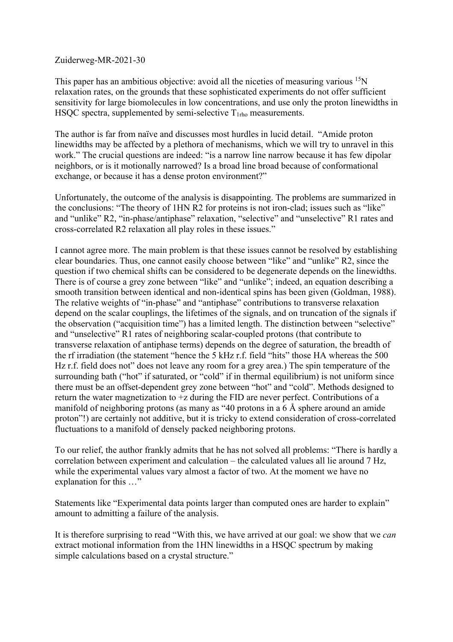## Zuiderweg-MR-2021-30

This paper has an ambitious objective: avoid all the niceties of measuring various <sup>15</sup>N relaxation rates, on the grounds that these sophisticated experiments do not offer sufficient sensitivity for large biomolecules in low concentrations, and use only the proton linewidths in HSQC spectra, supplemented by semi-selective  $T_{1rb}$  measurements.

The author is far from naïve and discusses most hurdles in lucid detail. "Amide proton linewidths may be affected by a plethora of mechanisms, which we will try to unravel in this work." The crucial questions are indeed: "is a narrow line narrow because it has few dipolar neighbors, or is it motionally narrowed? Is a broad line broad because of conformational exchange, or because it has a dense proton environment?"

Unfortunately, the outcome of the analysis is disappointing. The problems are summarized in the conclusions: "The theory of 1HN R2 for proteins is not iron-clad; issues such as "like" and "unlike" R2, "in-phase/antiphase" relaxation, "selective" and "unselective" R1 rates and cross-correlated R2 relaxation all play roles in these issues."

I cannot agree more. The main problem is that these issues cannot be resolved by establishing clear boundaries. Thus, one cannot easily choose between "like" and "unlike" R2, since the question if two chemical shifts can be considered to be degenerate depends on the linewidths. There is of course a grey zone between "like" and "unlike"; indeed, an equation describing a smooth transition between identical and non-identical spins has been given (Goldman, 1988). The relative weights of "in-phase" and "antiphase" contributions to transverse relaxation depend on the scalar couplings, the lifetimes of the signals, and on truncation of the signals if the observation ("acquisition time") has a limited length. The distinction between "selective" and "unselective" R1 rates of neighboring scalar-coupled protons (that contribute to transverse relaxation of antiphase terms) depends on the degree of saturation, the breadth of the rf irradiation (the statement "hence the 5 kHz r.f. field "hits" those HA whereas the 500 Hz r.f. field does not" does not leave any room for a grey area.) The spin temperature of the surrounding bath ("hot" if saturated, or "cold" if in thermal equilibrium) is not uniform since there must be an offset-dependent grey zone between "hot" and "cold". Methods designed to return the water magnetization to +z during the FID are never perfect. Contributions of a manifold of neighboring protons (as many as "40 protons in a 6 Å sphere around an amide proton"!) are certainly not additive, but it is tricky to extend consideration of cross-correlated fluctuations to a manifold of densely packed neighboring protons.

To our relief, the author frankly admits that he has not solved all problems: "There is hardly a correlation between experiment and calculation – the calculated values all lie around 7 Hz, while the experimental values vary almost a factor of two. At the moment we have no explanation for this …"

Statements like "Experimental data points larger than computed ones are harder to explain" amount to admitting a failure of the analysis.

It is therefore surprising to read "With this, we have arrived at our goal: we show that we *can*  extract motional information from the 1HN linewidths in a HSQC spectrum by making simple calculations based on a crystal structure."